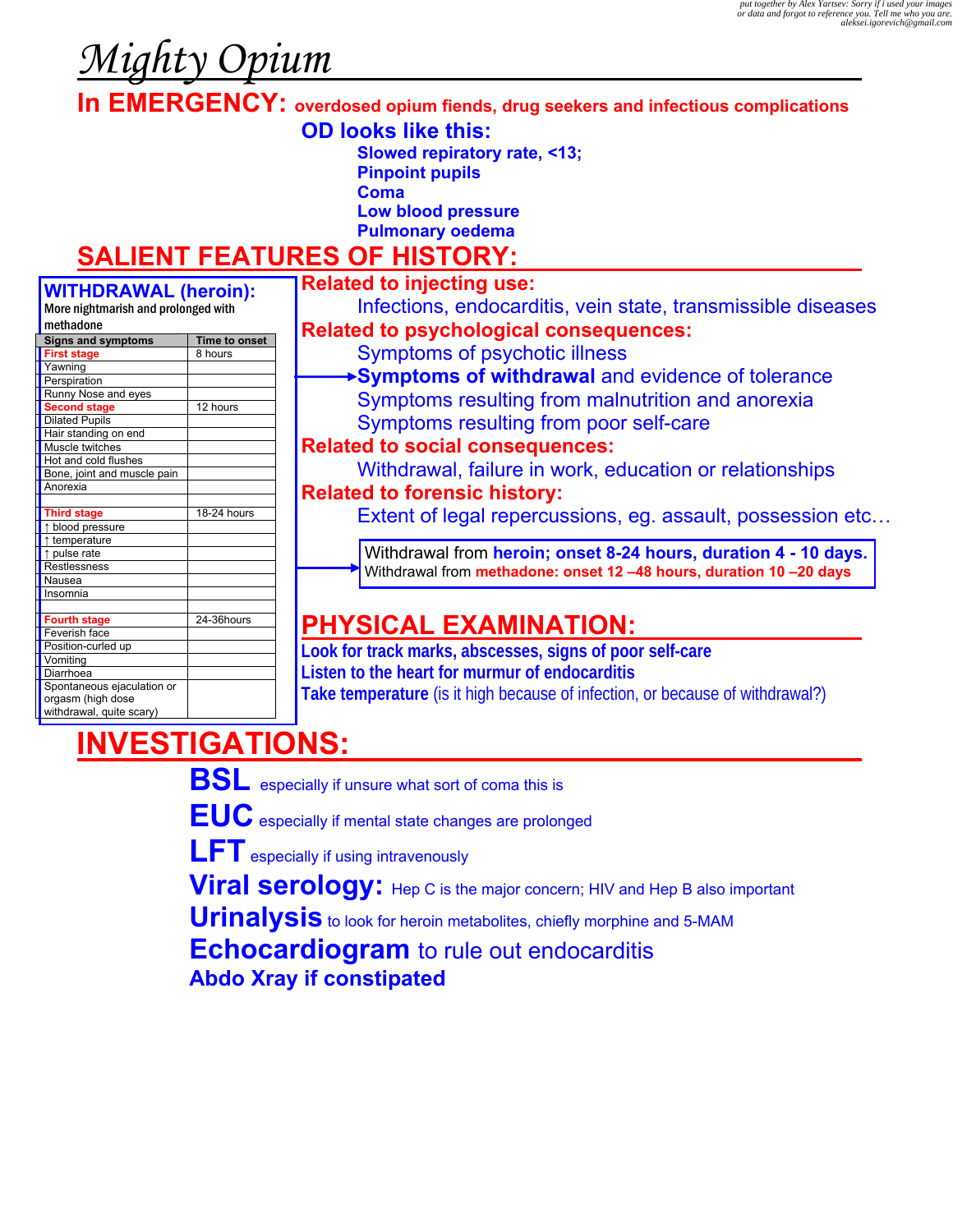# *Mighty Opium*

**In EMERGENCY: overdosed opium fiends, drug seekers and infectious complications**

- **OD looks like this:**
	- **Slowed repiratory rate, <13;**
	- **Pinpoint pupils**
	- **Coma**
	- **Low blood pressure**
	- **Pulmonary oedema**

### **SALIENT FEATURES OF HISTORY:**

#### **WITHDRAWAL (heroin):**  More nightmarish and prolonged with

|           | <u>MULE INSHUMANSH ANU PROMIKEU WILII</u> |               |
|-----------|-------------------------------------------|---------------|
| methadone |                                           |               |
|           | <b>Signs and symptoms</b>                 | Time to onset |
|           | <b>First stage</b>                        | 8 hours       |
|           | Yawning                                   |               |
|           | Perspiration                              |               |
|           | Runny Nose and eyes                       |               |
|           | <b>Second stage</b>                       | 12 hours      |
|           | <b>Dilated Pupils</b>                     |               |
|           | Hair standing on end                      |               |
|           | Muscle twitches                           |               |
|           | Hot and cold flushes                      |               |
|           | Bone, joint and muscle pain               |               |
|           | Anorexia                                  |               |
|           |                                           |               |
|           | <b>Third stage</b>                        | 18-24 hours   |
|           | ↑ blood pressure                          |               |
|           | ↑ temperature                             |               |
|           | ↑ pulse rate                              |               |
|           | Restlessness                              |               |
|           | Nausea                                    |               |
|           | Insomnia                                  |               |
|           |                                           |               |
|           | <b>Fourth stage</b>                       | 24-36hours    |
|           | Feverish face                             |               |
|           | Position-curled up                        |               |
|           | Vomiting                                  |               |
|           | Diarrhoea                                 |               |
|           | Spontaneous ejaculation or                |               |
|           | orgasm (high dose                         |               |
|           | withdrawal, quite scary)                  |               |
|           |                                           |               |

#### **Related to injecting use:**

 Infections, endocarditis, vein state, transmissible diseases  **Related to psychological consequences:** 

- Symptoms of psychotic illness
	- **Symptoms of withdrawal** and evidence of tolerance Symptoms resulting from malnutrition and anorexia Symptoms resulting from poor self-care
- **Related to social consequences:**
- Withdrawal, failure in work, education or relationships  **Related to forensic history:** 
	- Extent of legal repercussions, eg. assault, possession etc...

Withdrawal from **heroin; onset 8-24 hours, duration 4 - 10 days.** Withdrawal from **methadone: onset 12 –48 hours, duration 10 –20 days**

## **PHYSICAL EXAMINATION:**

**Look for track marks, abscesses, signs of poor self-care Listen to the heart for murmur of endocarditis Take temperature** (is it high because of infection, or because of withdrawal?)

# **INVESTIGATIONS:**

 **BSL** especially if unsure what sort of coma this is

 **EUC** especially if mental state changes are prolonged

- **LFT** especially if using intravenously
- **Viral serology:** Hep C is the major concern; HIV and Hep B also important

**Urinalysis** to look for heroin metabolites, chiefly morphine and 5-MAM

 **Echocardiogram** to rule out endocarditis **Abdo Xray if constipated**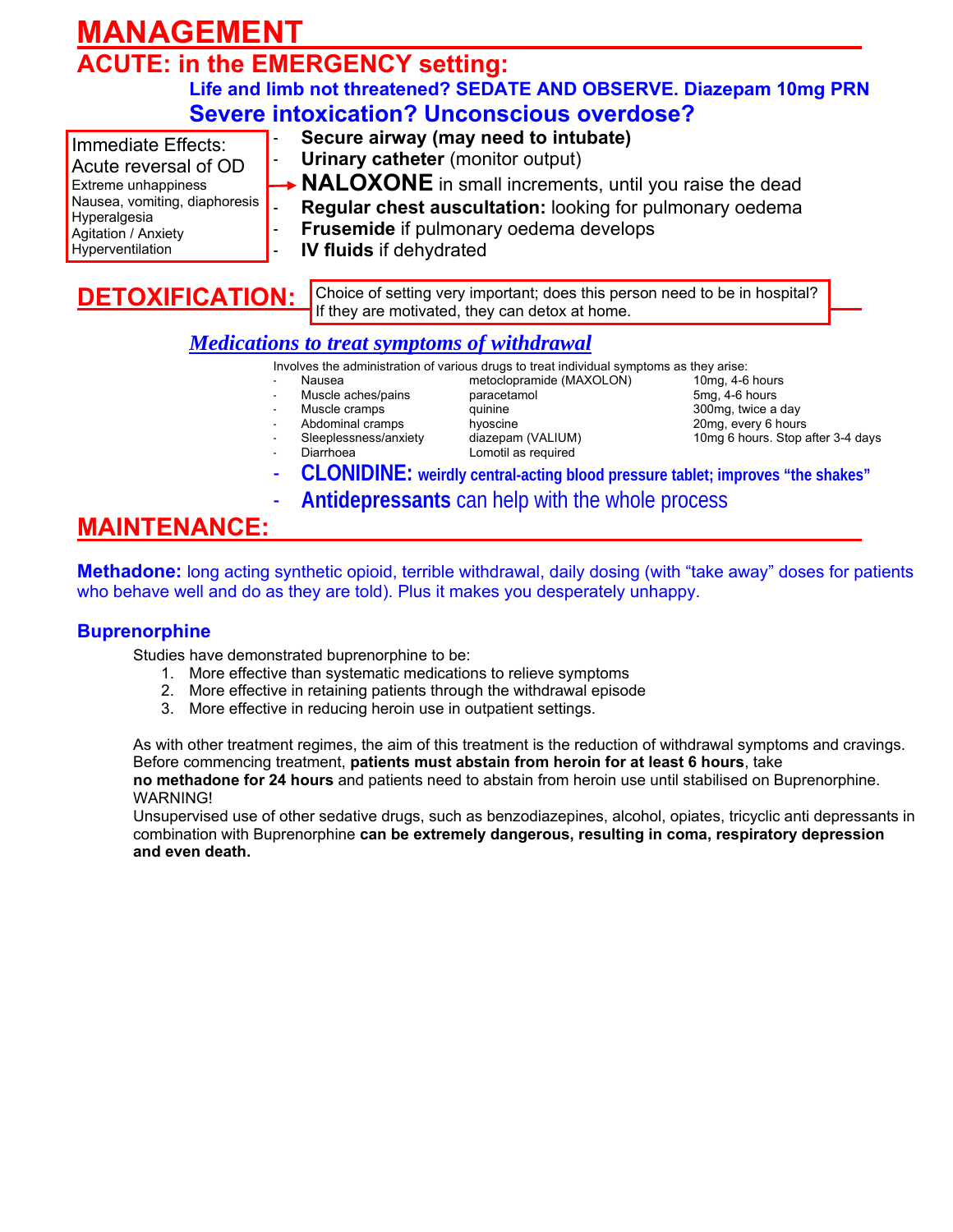# **MANAGEMENT**

# **ACUTE: in the EMERGENCY setting:**

#### **Life and limb not threatened? SEDATE AND OBSERVE. Diazepam 10mg PRN Severe intoxication? Unconscious overdose?**

Immediate Effects: Acute reversal of OD Extreme unhappiness Nausea, vomiting, diaphoresis Hyperalgesia Agitation / Anxiety Hyperventilation

- **Secure airway (may need to intubate) Urinary catheter** (monitor output)
- **NALOXONE** in small increments, until you raise the dead
- **Regular chest auscultation: looking for pulmonary oedema**
- **Frusemide** if pulmonary oedema develops
	- **IV fluids** if dehydrated

Choice of setting very important; does this person need to be in hospital? If they are motivated, they can detox at home.

#### *Medications to treat symptoms of withdrawal*

Involves the administration of various drugs to treat individual symptoms as they arise:

- 
- Muscle aches/pains
- 
- 
- 
- 
- Muscle cramps **and Communister Communist Communist Communist Communist Communist Communist Communist Communist Communist Communist Communist Communist Communist Communist Communist Communist Communist Communist Communist C** Lomotil as required

Mausea metoclopramide (MAXOLON) 10mg, 4-6 hours<br>Muscle aches/pains paracetamol baracetamol 5mg, 4-6 hours - Abdominal cramps hyoscine 20mg, every 6 hours Sleeplessness/anxiety diazepam (VALIUM) 10mg 6 hours. Stop after 3-4 days<br>Diarrhoea 1 0motil as required

- **CLONIDINE: weirdly central-acting blood pressure tablet; improves "the shakes"**
- **Antidepressants** can help with the whole process

### **MAINTENANCE:**

**Methadone:** long acting synthetic opioid, terrible withdrawal, daily dosing (with "take away" doses for patients who behave well and do as they are told). Plus it makes you desperately unhappy.

#### **Buprenorphine**

Studies have demonstrated buprenorphine to be:

- 1. More effective than systematic medications to relieve symptoms
- 2. More effective in retaining patients through the withdrawal episode
- 3. More effective in reducing heroin use in outpatient settings.

As with other treatment regimes, the aim of this treatment is the reduction of withdrawal symptoms and cravings. Before commencing treatment, **patients must abstain from heroin for at least 6 hours**, take **no methadone for 24 hours** and patients need to abstain from heroin use until stabilised on Buprenorphine. WARNING!

Unsupervised use of other sedative drugs, such as benzodiazepines, alcohol, opiates, tricyclic anti depressants in combination with Buprenorphine **can be extremely dangerous, resulting in coma, respiratory depression and even death.**